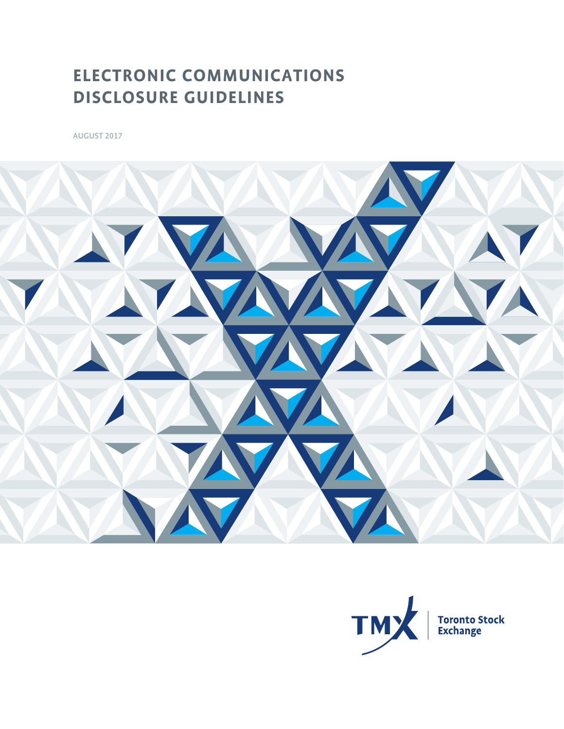## **ELECTRONIC COMMUNICATIONS DISCLOSURE GUIDELINES**

AUGUST 2017



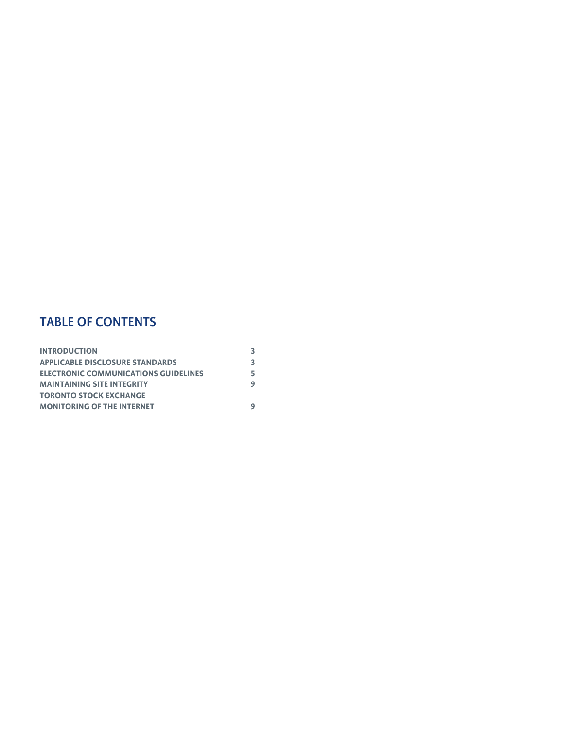## TABLE OF CONTENTS

| <b>INTRODUCTION</b>                         |    |
|---------------------------------------------|----|
| <b>APPLICABLE DISCLOSURE STANDARDS</b>      | 3. |
| <b>ELECTRONIC COMMUNICATIONS GUIDELINES</b> |    |
| <b>MAINTAINING SITE INTEGRITY</b>           | 9  |
| TORONTO STOCK EXCHANGE                      |    |
| <b>MONITORING OF THE INTERNET</b>           |    |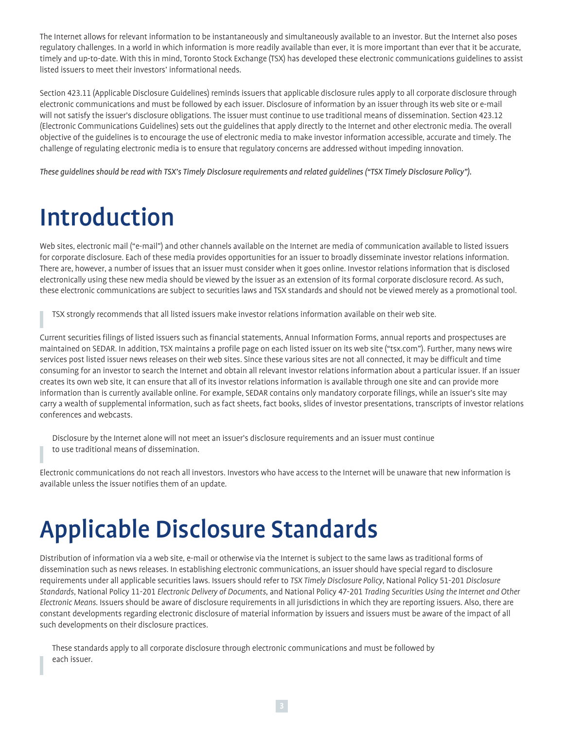The Internet allows for relevant information to be instantaneously and simultaneously available to an investor. But the Internet also poses regulatory challenges. In a world in which information is more readily available than ever, it is more important than ever that it be accurate, timely and up-to-date. With this in mind, Toronto Stock Exchange (TSX) has developed these electronic communications guidelines to assist listed issuers to meet their investors' informational needs.

Section 423.11 (Applicable Disclosure Guidelines) reminds issuers that applicable disclosure rules apply to all corporate disclosure through electronic communications and must be followed by each issuer. Disclosure of information by an issuer through its web site or e-mail will not satisfy the issuer's disclosure obligations. The issuer must continue to use traditional means of dissemination. Section 423.12 (Electronic Communications Guidelines) sets out the guidelines that apply directly to the Internet and other electronic media. The overall objective of the guidelines is to encourage the use of electronic media to make investor information accessible, accurate and timely. The challenge of regulating electronic media is to ensure that regulatory concerns are addressed without impeding innovation.

*These guidelines should be read with TSX's Timely Disclosure requirements and related guidelines ("TSX Timely Disclosure Policy").*

## Introduction

Web sites, electronic mail ("e-mail") and other channels available on the Internet are media of communication available to listed issuers for corporate disclosure. Each of these media provides opportunities for an issuer to broadly disseminate investor relations information. There are, however, a number of issues that an issuer must consider when it goes online. Investor relations information that is disclosed electronically using these new media should be viewed by the issuer as an extension of its formal corporate disclosure record. As such, these electronic communications are subject to securities laws and TSX standards and should not be viewed merely as a promotional tool.

TSX strongly recommends that all listed issuers make investor relations information available on their web site.

Current securities filings of listed issuers such as financial statements, Annual Information Forms, annual reports and prospectuses are maintained on SEDAR. In addition, TSX maintains a profile page on each listed issuer on its web site ("[tsx.com"](http://tsx.com/)). Further, many news wire services post listed issuer news releases on their web sites. Since these various sites are not all connected, it may be difficult and time consuming for an investor to search the Internet and obtain all relevant investor relations information about a particular issuer. If an issuer creates its own web site, it can ensure that all of its investor relations information is available through one site and can provide more information than is currently available online. For example, SEDAR contains only mandatory corporate filings, while an issuer's site may carry a wealth of supplemental information, such as fact sheets, fact books, slides of investor presentations, transcripts of investor relations conferences and webcasts.

Disclosure by the Internet alone will not meet an issuer's disclosure requirements and an issuer must continue to use traditional means of dissemination.

Electronic communications do not reach all investors. Investors who have access to the Internet will be unaware that new information is available unless the issuer notifies them of an update.

## Applicable Disclosure Standards

Distribution of information via a web site, e-mail or otherwise via the Internet is subject to the same laws as traditional forms of dissemination such as news releases. In establishing electronic communications, an issuer should have special regard to disclosure requirements under all applicable securities laws. Issuers should refer to *TSX Timely Disclosure Policy*, National Policy 51-201 *Disclosure Standards*, National Policy 11-201 *Electronic Delivery of Documents*, and National Policy 47-201 *Trading Securities Using the Internet and Other Electronic Means*. Issuers should be aware of disclosure requirements in all jurisdictions in which they are reporting issuers. Also, there are constant developments regarding electronic disclosure of material information by issuers and issuers must be aware of the impact of all such developments on their disclosure practices.

These standards apply to all corporate disclosure through electronic communications and must be followed by each issuer.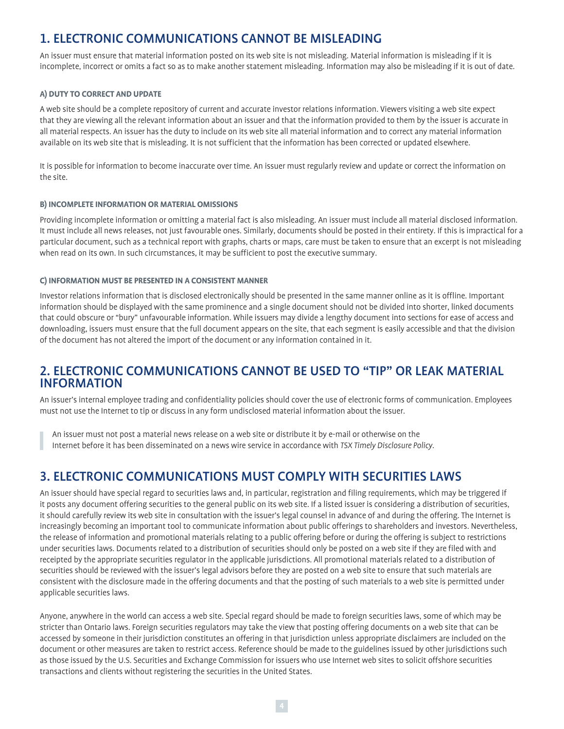## 1. ELECTRONIC COMMUNICATIONS CANNOT BE MISLEADING

An issuer must ensure that material information posted on its web site is not misleading. Material information is misleading if it is incomplete, incorrect or omits a fact so as to make another statement misleading. Information may also be misleading if it is out of date.

#### **A) DUTY TO CORRECT AND UPDATE**

A web site should be a complete repository of current and accurate investor relations information. Viewers visiting a web site expect that they are viewing all the relevant information about an issuer and that the information provided to them by the issuer is accurate in all material respects. An issuer has the duty to include on its web site all material information and to correct any material information available on its web site that is misleading. It is not sufficient that the information has been corrected or updated elsewhere.

It is possible for information to become inaccurate over time. An issuer must regularly review and update or correct the information on the site.

#### **B) INCOMPLETE INFORMATION OR MATERIAL OMISSIONS**

Providing incomplete information or omitting a material fact is also misleading. An issuer must include all material disclosed information. It must include all news releases, not just favourable ones. Similarly, documents should be posted in their entirety. If this is impractical for a particular document, such as a technical report with graphs, charts or maps, care must be taken to ensure that an excerpt is not misleading when read on its own. In such circumstances, it may be sufficient to post the executive summary.

#### **C) INFORMATION MUST BE PRESENTED IN A CONSISTENT MANNER**

Investor relations information that is disclosed electronically should be presented in the same manner online as it is offline. Important information should be displayed with the same prominence and a single document should not be divided into shorter, linked documents that could obscure or "bury" unfavourable information. While issuers may divide a lengthy document into sections for ease of access and downloading, issuers must ensure that the full document appears on the site, that each segment is easily accessible and that the division of the document has not altered the import of the document or any information contained in it.

### 2. ELECTRONIC COMMUNICATIONS CANNOT BE USED TO "TIP" OR LEAK MATERIAL INFORMATION

An issuer's internal employee trading and confidentiality policies should cover the use of electronic forms of communication. Employees must not use the Internet to tip or discuss in any form undisclosed material information about the issuer.

An issuer must not post a material news release on a web site or distribute it by e-mail or otherwise on the

Internet before it has been disseminated on a news wire service in accordance with *TSX Timely Disclosure Policy.*

## 3. ELECTRONIC COMMUNICATIONS MUST COMPLY WITH SECURITIES LAWS

An issuer should have special regard to securities laws and, in particular, registration and filing requirements, which may be triggered if it posts any document offering securities to the general public on its web site. If a listed issuer is considering a distribution of securities, it should carefully review its web site in consultation with the issuer's legal counsel in advance of and during the offering. The Internet is increasingly becoming an important tool to communicate information about public offerings to shareholders and investors. Nevertheless, the release of information and promotional materials relating to a public offering before or during the offering is subject to restrictions under securities laws. Documents related to a distribution of securities should only be posted on a web site if they are filed with and receipted by the appropriate securities regulator in the applicable jurisdictions. All promotional materials related to a distribution of securities should be reviewed with the issuer's legal advisors before they are posted on a web site to ensure that such materials are consistent with the disclosure made in the offering documents and that the posting of such materials to a web site is permitted under applicable securities laws.

Anyone, anywhere in the world can access a web site. Special regard should be made to foreign securities laws, some of which may be stricter than Ontario laws. Foreign securities regulators may take the view that posting offering documents on a web site that can be accessed by someone in their jurisdiction constitutes an offering in that jurisdiction unless appropriate disclaimers are included on the document or other measures are taken to restrict access. Reference should be made to the guidelines issued by other jurisdictions such as those issued by the U.S. Securities and Exchange Commission for issuers who use Internet web sites to solicit offshore securities transactions and clients without registering the securities in the United States.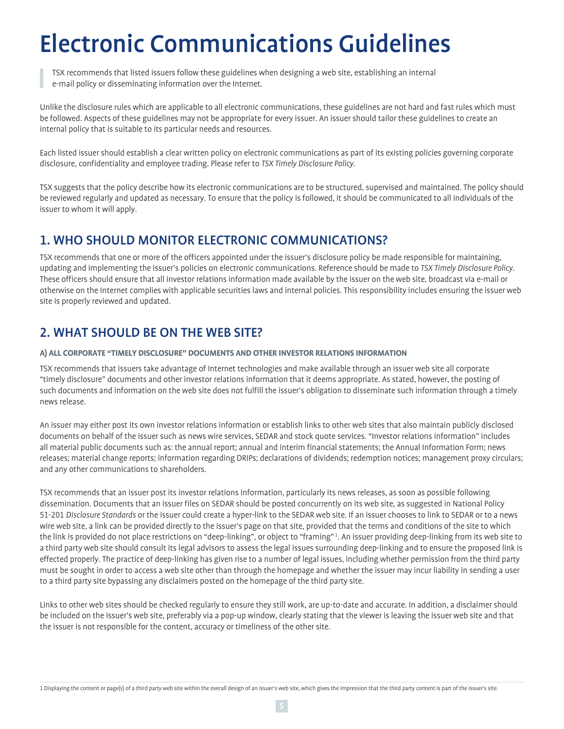# Electronic Communications Guidelines

TSX recommends that listed issuers follow these guidelines when designing a web site, establishing an internal e-mail policy or disseminating information over the Internet.

Unlike the disclosure rules which are applicable to all electronic communications, these guidelines are not hard and fast rules which must be followed. Aspects of these guidelines may not be appropriate for every issuer. An issuer should tailor these guidelines to create an internal policy that is suitable to its particular needs and resources.

Each listed issuer should establish a clear written policy on electronic communications as part of its existing policies governing corporate disclosure, confidentiality and employee trading. Please refer to *TSX Timely Disclosure Policy*.

TSX suggests that the policy describe how its electronic communications are to be structured, supervised and maintained. The policy should be reviewed regularly and updated as necessary. To ensure that the policy is followed, it should be communicated to all individuals of the issuer to whom it will apply.

## 1. WHO SHOULD MONITOR ELECTRONIC COMMUNICATIONS?

TSX recommends that one or more of the officers appointed under the issuer's disclosure policy be made responsible for maintaining, updating and implementing the issuer's policies on electronic communications. Reference should be made to *TSX Timely Disclosure Policy*. These officers should ensure that all investor relations information made available by the issuer on the web site, broadcast via e-mail or otherwise on the Internet complies with applicable securities laws and internal policies. This responsibility includes ensuring the issuer web site is properly reviewed and updated.

## 2. WHAT SHOULD BE ON THE WEB SITE?

#### **A) ALL CORPORATE "TIMELY DISCLOSURE" DOCUMENTS AND OTHER INVESTOR RELATIONS INFORMATION**

TSX recommends that issuers take advantage of Internet technologies and make available through an issuer web site all corporate "timely disclosure" documents and other investor relations information that it deems appropriate. As stated, however, the posting of such documents and information on the web site does not fulfill the issuer's obligation to disseminate such information through a timely news release.

An issuer may either post its own investor relations information or establish links to other web sites that also maintain publicly disclosed documents on behalf of the issuer such as news wire services, SEDAR and stock quote services. "Investor relations information" includes all material public documents such as: the annual report; annual and interim financial statements; the Annual Information Form; news releases; material change reports; information regarding DRIPs; declarations of dividends; redemption notices; management proxy circulars; and any other communications to shareholders.

TSX recommends that an issuer post its investor relations information, particularly its news releases, as soon as possible following dissemination. Documents that an issuer files on SEDAR should be posted concurrently on its web site, as suggested in National Policy 51-201 *Disclosure Standards* or the issuer could create a hyper-link to the SEDAR web site. If an issuer chooses to link to SEDAR or to a news wire web site, a link can be provided directly to the issuer's page on that site, provided that the terms and conditions of the site to which the link is provided do not place restrictions on "deep-linking", or object to "framing" <sup>1</sup> . An issuer providing deep-linking from its web site to a third party web site should consult its legal advisors to assess the legal issues surrounding deep-linking and to ensure the proposed link is effected properly. The practice of deep-linking has given rise to a number of legal issues, including whether permission from the third party must be sought in order to access a web site other than through the homepage and whether the issuer may incur liability in sending a user to a third party site bypassing any disclaimers posted on the homepage of the third party site.

Links to other web sites should be checked regularly to ensure they still work, are up-to-date and accurate. In addition, a disclaimer should be included on the issuer's web site, preferably via a pop-up window, clearly stating that the viewer is leaving the issuer web site and that the issuer is not responsible for the content, accuracy or timeliness of the other site.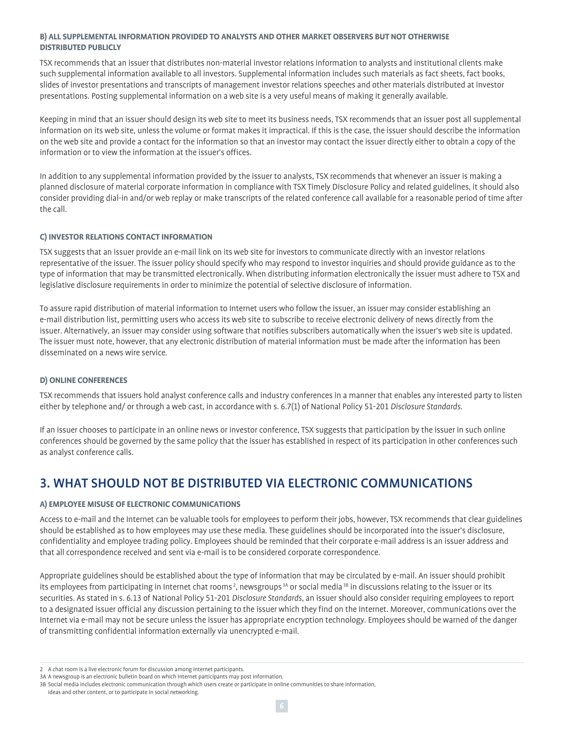#### **B) ALL SUPPLEMENTAL INFORMATION PROVIDED TO ANALYSTS AND OTHER MARKET OBSERVERS BUT NOT OTHERWISE DISTRIBUTED PUBLICLY**

TSX recommends that an issuer that distributes non-material investor relations information to analysts and institutional clients make such supplemental information available to all investors. Supplemental information includes such materials as fact sheets, fact books, slides of investor presentations and transcripts of management investor relations speeches and other materials distributed at investor presentations. Posting supplemental information on a web site is a very useful means of making it generally available.

Keeping in mind that an issuer should design its web site to meet its business needs, TSX recommends that an issuer post all supplemental information on its web site, unless the volume or format makes it impractical. If this is the case, the issuer should describe the information on the web site and provide a contact for the information so that an investor may contact the issuer directly either to obtain a copy of the information or to view the information at the issuer's offices.

In addition to any supplemental information provided by the issuer to analysts, TSX recommends that whenever an issuer is making a planned disclosure of material corporate information in compliance with TSX Timely Disclosure Policy and related guidelines, it should also consider providing dial-in and/or web replay or make transcripts of the related conference call available for a reasonable period of time after the call.

#### **C) INVESTOR RELATIONS CONTACT INFORMATION**

TSX suggests that an issuer provide an e-mail link on its web site for investors to communicate directly with an investor relations representative of the issuer. The issuer policy should specify who may respond to investor inquiries and should provide guidance as to the type of information that may be transmitted electronically. When distributing information electronically the issuer must adhere to TSX and legislative disclosure requirements in order to minimize the potential of selective disclosure of information.

To assure rapid distribution of material information to Internet users who follow the issuer, an issuer may consider establishing an e-mail distribution list, permitting users who access its web site to subscribe to receive electronic delivery of news directly from the issuer. Alternatively, an issuer may consider using software that notifies subscribers automatically when the issuer's web site is updated. The issuer must note, however, that any electronic distribution of material information must be made after the information has been disseminated on a news wire service.

#### **D) ONLINE CONFERENCES**

TSX recommends that issuers hold analyst conference calls and industry conferences in a manner that enables any interested party to listen either by telephone and/ or through a web cast, in accordance with s. 6.7(1) of National Policy 51-201 *Disclosure Standards*.

If an issuer chooses to participate in an online news or investor conference, TSX suggests that participation by the issuer in such online conferences should be governed by the same policy that the issuer has established in respect of its participation in other conferences such as analyst conference calls.

## 3. WHAT SHOULD NOT BE DISTRIBUTED VIA ELECTRONIC COMMUNICATIONS

#### **A) EMPLOYEE MISUSE OF ELECTRONIC COMMUNICATIONS**

Access to e-mail and the Internet can be valuable tools for employees to perform their jobs, however, TSX recommends that clear guidelines should be established as to how employees may use these media. These guidelines should be incorporated into the issuer's disclosure, confidentiality and employee trading policy. Employees should be reminded that their corporate e-mail address is an issuer address and that all correspondence received and sent via e-mail is to be considered corporate correspondence.

Appropriate guidelines should be established about the type of information that may be circulated by e-mail. An issuer should prohibit its employees from participating in Internet chat rooms<sup>2</sup>, newsgroups<sup>3A</sup> or social media<sup>3B</sup> in discussions relating to the issuer or its securities. As stated in s. 6.13 of National Policy 51-201 *Disclosure Standards*, an issuer should also consider requiring employees to report to a designated issuer official any discussion pertaining to the issuer which they find on the Internet. Moreover, communications over the Internet via e-mail may not be secure unless the issuer has appropriate encryption technology. Employees should be warned of the danger of transmitting confidential information externally via unencrypted e-mail.

<sup>2</sup> A chat room is a live electronic forum for discussion among Internet participants.

<sup>3</sup>A A newsgroup is an electronic bulletin board on which Internet participants may post information.

<sup>3</sup>B Social media includes electronic communication through which users create or participate in online communities to share information,

ideas and other content, or to participate in social networking.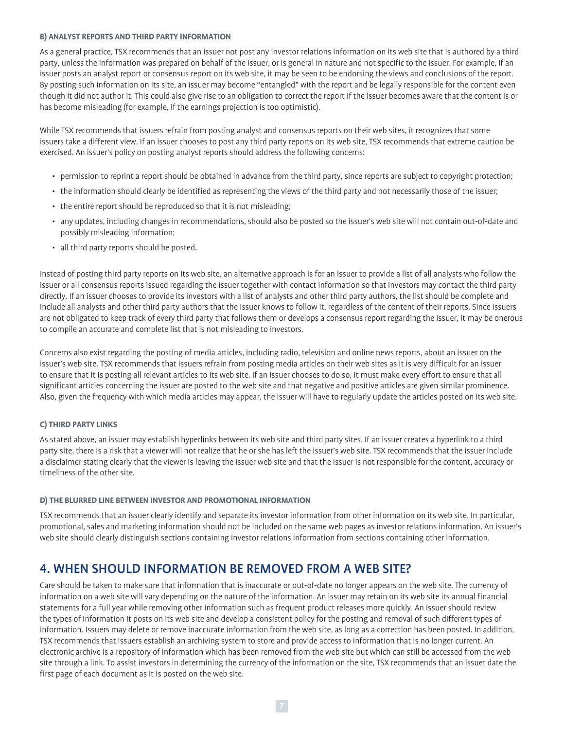#### **B) ANALYST REPORTS AND THIRD PARTY INFORMATION**

As a general practice, TSX recommends that an issuer not post any investor relations information on its web site that is authored by a third party, unless the information was prepared on behalf of the issuer, or is general in nature and not specific to the issuer. For example, if an issuer posts an analyst report or consensus report on its web site, it may be seen to be endorsing the views and conclusions of the report. By posting such information on its site, an issuer may become "entangled" with the report and be legally responsible for the content even though it did not author it. This could also give rise to an obligation to correct the report if the issuer becomes aware that the content is or has become misleading (for example, if the earnings projection is too optimistic).

While TSX recommends that issuers refrain from posting analyst and consensus reports on their web sites, it recognizes that some issuers take a different view. If an issuer chooses to post any third party reports on its web site, TSX recommends that extreme caution be exercised. An issuer's policy on posting analyst reports should address the following concerns:

- permission to reprint a report should be obtained in advance from the third party, since reports are subject to copyright protection;
- the information should clearly be identified as representing the views of the third party and not necessarily those of the issuer;
- the entire report should be reproduced so that it is not misleading;
- any updates, including changes in recommendations, should also be posted so the issuer's web site will not contain out-of-date and possibly misleading information;
- all third party reports should be posted.

Instead of posting third party reports on its web site, an alternative approach is for an issuer to provide a list of all analysts who follow the issuer or all consensus reports issued regarding the issuer together with contact information so that investors may contact the third party directly. If an issuer chooses to provide its investors with a list of analysts and other third party authors, the list should be complete and include all analysts and other third party authors that the issuer knows to follow it, regardless of the content of their reports. Since issuers are not obligated to keep track of every third party that follows them or develops a consensus report regarding the issuer, it may be onerous to compile an accurate and complete list that is not misleading to investors.

Concerns also exist regarding the posting of media articles, including radio, television and online news reports, about an issuer on the issuer's web site. TSX recommends that issuers refrain from posting media articles on their web sites as it is very difficult for an issuer to ensure that it is posting all relevant articles to its web site. If an issuer chooses to do so, it must make every effort to ensure that all significant articles concerning the issuer are posted to the web site and that negative and positive articles are given similar prominence. Also, given the frequency with which media articles may appear, the issuer will have to regularly update the articles posted on its web site.

#### **C) THIRD PARTY LINKS**

As stated above, an issuer may establish hyperlinks between its web site and third party sites. If an issuer creates a hyperlink to a third party site, there is a risk that a viewer will not realize that he or she has left the issuer's web site. TSX recommends that the issuer include a disclaimer stating clearly that the viewer is leaving the issuer web site and that the issuer is not responsible for the content, accuracy or timeliness of the other site.

#### **D) THE BLURRED LINE BETWEEN INVESTOR AND PROMOTIONAL INFORMATION**

TSX recommends that an issuer clearly identify and separate its investor information from other information on its web site. In particular, promotional, sales and marketing information should not be included on the same web pages as investor relations information. An issuer's web site should clearly distinguish sections containing investor relations information from sections containing other information.

### 4. WHEN SHOULD INFORMATION BE REMOVED FROM A WEB SITE?

Care should be taken to make sure that information that is inaccurate or out-of-date no longer appears on the web site. The currency of information on a web site will vary depending on the nature of the information. An issuer may retain on its web site its annual financial statements for a full year while removing other information such as frequent product releases more quickly. An issuer should review the types of information it posts on its web site and develop a consistent policy for the posting and removal of such different types of information. Issuers may delete or remove inaccurate information from the web site, as long as a correction has been posted. In addition, TSX recommends that issuers establish an archiving system to store and provide access to information that is no longer current. An electronic archive is a repository of information which has been removed from the web site but which can still be accessed from the web site through a link. To assist investors in determining the currency of the information on the site, TSX recommends that an issuer date the first page of each document as it is posted on the web site.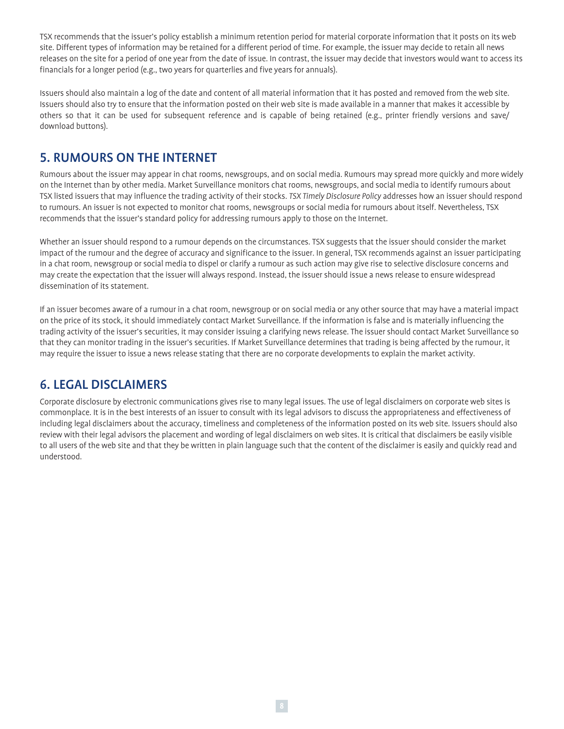TSX recommends that the issuer's policy establish a minimum retention period for material corporate information that it posts on its web site. Different types of information may be retained for a different period of time. For example, the issuer may decide to retain all news releases on the site for a period of one year from the date of issue. In contrast, the issuer may decide that investors would want to access its financials for a longer period (e.g., two years for quarterlies and five years for annuals).

Issuers should also maintain a log of the date and content of all material information that it has posted and removed from the web site. Issuers should also try to ensure that the information posted on their web site is made available in a manner that makes it accessible by others so that it can be used for subsequent reference and is capable of being retained (e.g., printer friendly versions and save/ download buttons).

### 5. RUMOURS ON THE INTERNET

Rumours about the issuer may appear in chat rooms, newsgroups, and on social media. Rumours may spread more quickly and more widely on the Internet than by other media. Market Surveillance monitors chat rooms, newsgroups, and social media to identify rumours about TSX listed issuers that may influence the trading activity of their stocks. *TSX Timely Disclosure Policy* addresses how an issuer should respond to rumours. An issuer is not expected to monitor chat rooms, newsgroups or social media for rumours about itself. Nevertheless, TSX recommends that the issuer's standard policy for addressing rumours apply to those on the Internet.

Whether an issuer should respond to a rumour depends on the circumstances. TSX suggests that the issuer should consider the market impact of the rumour and the degree of accuracy and significance to the issuer. In general, TSX recommends against an issuer participating in a chat room, newsgroup or social media to dispel or clarify a rumour as such action may give rise to selective disclosure concerns and may create the expectation that the issuer will always respond. Instead, the issuer should issue a news release to ensure widespread dissemination of its statement.

If an issuer becomes aware of a rumour in a chat room, newsgroup or on social media or any other source that may have a material impact on the price of its stock, it should immediately contact Market Surveillance. If the information is false and is materially influencing the trading activity of the issuer's securities, it may consider issuing a clarifying news release. The issuer should contact Market Surveillance so that they can monitor trading in the issuer's securities. If Market Surveillance determines that trading is being affected by the rumour, it may require the issuer to issue a news release stating that there are no corporate developments to explain the market activity.

## 6. LEGAL DISCLAIMERS

Corporate disclosure by electronic communications gives rise to many legal issues. The use of legal disclaimers on corporate web sites is commonplace. It is in the best interests of an issuer to consult with its legal advisors to discuss the appropriateness and effectiveness of including legal disclaimers about the accuracy, timeliness and completeness of the information posted on its web site. Issuers should also review with their legal advisors the placement and wording of legal disclaimers on web sites. It is critical that disclaimers be easily visible to all users of the web site and that they be written in plain language such that the content of the disclaimer is easily and quickly read and understood.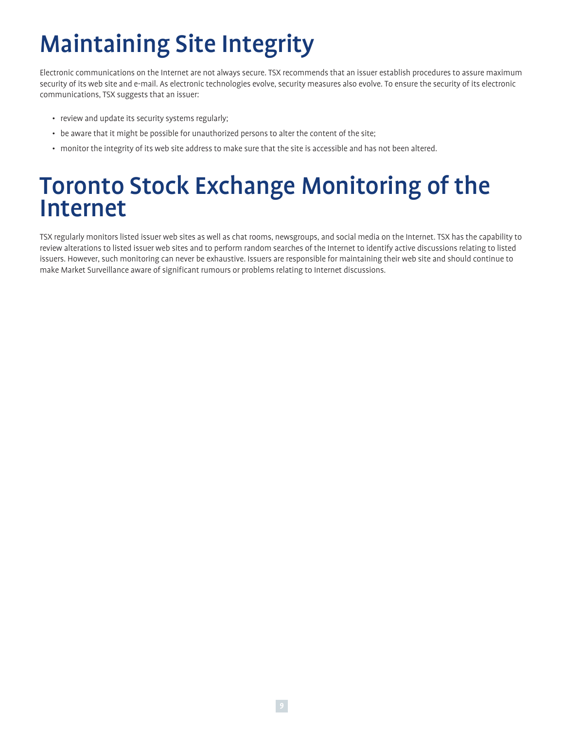# Maintaining Site Integrity

Electronic communications on the Internet are not always secure. TSX recommends that an issuer establish procedures to assure maximum security of its web site and e-mail. As electronic technologies evolve, security measures also evolve. To ensure the security of its electronic communications, TSX suggests that an issuer:

- review and update its security systems regularly;
- be aware that it might be possible for unauthorized persons to alter the content of the site;
- monitor the integrity of its web site address to make sure that the site is accessible and has not been altered.

## Toronto Stock Exchange Monitoring of the Internet

TSX regularly monitors listed issuer web sites as well as chat rooms, newsgroups, and social media on the Internet. TSX has the capability to review alterations to listed issuer web sites and to perform random searches of the Internet to identify active discussions relating to listed issuers. However, such monitoring can never be exhaustive. Issuers are responsible for maintaining their web site and should continue to make Market Surveillance aware of significant rumours or problems relating to Internet discussions.